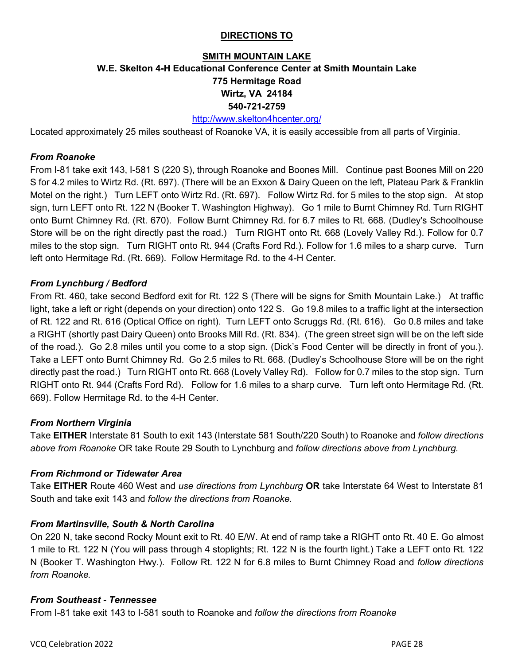## **DIRECTIONS TO**

# **SMITH MOUNTAIN LAKE W.E. Skelton 4-H Educational Conference Center at Smith Mountain Lake 775 Hermitage Road Wirtz, VA 24184 540-721-2759**

### <http://www.skelton4hcenter.org/>

Located approximately 25 miles southeast of Roanoke VA, it is easily accessible from all parts of Virginia.

#### *From Roanoke*

From I-81 take exit 143, I-581 S (220 S), through Roanoke and Boones Mill. Continue past Boones Mill on 220 S for 4.2 miles to Wirtz Rd. (Rt. 697). (There will be an Exxon & Dairy Queen on the left, Plateau Park & Franklin Motel on the right.) Turn LEFT onto Wirtz Rd. (Rt. 697). Follow Wirtz Rd. for 5 miles to the stop sign. At stop sign, turn LEFT onto Rt. 122 N (Booker T. Washington Highway). Go 1 mile to Burnt Chimney Rd. Turn RIGHT onto Burnt Chimney Rd. (Rt. 670). Follow Burnt Chimney Rd. for 6.7 miles to Rt. 668. (Dudley's Schoolhouse Store will be on the right directly past the road.) Turn RIGHT onto Rt. 668 (Lovely Valley Rd.). Follow for 0.7 miles to the stop sign. Turn RIGHT onto Rt. 944 (Crafts Ford Rd.). Follow for 1.6 miles to a sharp curve. Turn left onto Hermitage Rd. (Rt. 669). Follow Hermitage Rd. to the 4-H Center.

#### *From Lynchburg / Bedford*

From Rt. 460, take second Bedford exit for Rt. 122 S (There will be signs for Smith Mountain Lake.) At traffic light, take a left or right (depends on your direction) onto 122 S. Go 19.8 miles to a traffic light at the intersection of Rt. 122 and Rt. 616 (Optical Office on right). Turn LEFT onto Scruggs Rd. (Rt. 616). Go 0.8 miles and take a RIGHT (shortly past Dairy Queen) onto Brooks Mill Rd. (Rt. 834). (The green street sign will be on the left side of the road.). Go 2.8 miles until you come to a stop sign. (Dick's Food Center will be directly in front of you.). Take a LEFT onto Burnt Chimney Rd. Go 2.5 miles to Rt. 668. (Dudley's Schoolhouse Store will be on the right directly past the road.) Turn RIGHT onto Rt. 668 (Lovely Valley Rd). Follow for 0.7 miles to the stop sign. Turn RIGHT onto Rt. 944 (Crafts Ford Rd). Follow for 1.6 miles to a sharp curve. Turn left onto Hermitage Rd. (Rt. 669). Follow Hermitage Rd. to the 4-H Center.

## *From Northern Virginia*

Take **EITHER** Interstate 81 South to exit 143 (Interstate 581 South/220 South) to Roanoke and *follow directions above from Roanoke* OR take Route 29 South to Lynchburg and *follow directions above from Lynchburg.* 

#### *From Richmond or Tidewater Area*

Take **EITHER** Route 460 West and *use directions from Lynchburg* **OR** take Interstate 64 West to Interstate 81 South and take exit 143 and *follow the directions from Roanoke.*

## *From Martinsville, South & North Carolina*

On 220 N, take second Rocky Mount exit to Rt. 40 E/W. At end of ramp take a RIGHT onto Rt. 40 E. Go almost 1 mile to Rt. 122 N (You will pass through 4 stoplights; Rt. 122 N is the fourth light.) Take a LEFT onto Rt. 122 N (Booker T. Washington Hwy.). Follow Rt. 122 N for 6.8 miles to Burnt Chimney Road and *follow directions from Roanoke.*

#### *From Southeast - Tennessee*

From I-81 take exit 143 to I-581 south to Roanoke and *follow the directions from Roanoke*